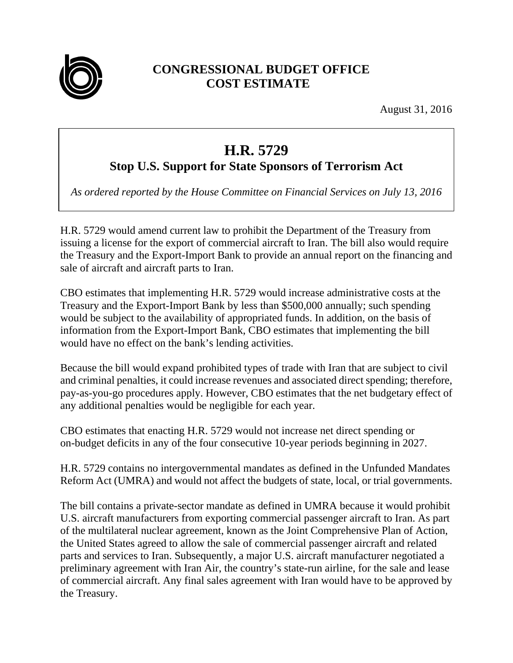

## **CONGRESSIONAL BUDGET OFFICE COST ESTIMATE**

August 31, 2016

## **H.R. 5729**

## **Stop U.S. Support for State Sponsors of Terrorism Act**

*As ordered reported by the House Committee on Financial Services on July 13, 2016*

H.R. 5729 would amend current law to prohibit the Department of the Treasury from issuing a license for the export of commercial aircraft to Iran. The bill also would require the Treasury and the Export-Import Bank to provide an annual report on the financing and sale of aircraft and aircraft parts to Iran.

CBO estimates that implementing H.R. 5729 would increase administrative costs at the Treasury and the Export-Import Bank by less than \$500,000 annually; such spending would be subject to the availability of appropriated funds. In addition, on the basis of information from the Export-Import Bank, CBO estimates that implementing the bill would have no effect on the bank's lending activities.

Because the bill would expand prohibited types of trade with Iran that are subject to civil and criminal penalties, it could increase revenues and associated direct spending; therefore, pay-as-you-go procedures apply. However, CBO estimates that the net budgetary effect of any additional penalties would be negligible for each year.

CBO estimates that enacting H.R. 5729 would not increase net direct spending or on-budget deficits in any of the four consecutive 10-year periods beginning in 2027.

H.R. 5729 contains no intergovernmental mandates as defined in the Unfunded Mandates Reform Act (UMRA) and would not affect the budgets of state, local, or trial governments.

The bill contains a private-sector mandate as defined in UMRA because it would prohibit U.S. aircraft manufacturers from exporting commercial passenger aircraft to Iran. As part of the multilateral nuclear agreement, known as the Joint Comprehensive Plan of Action, the United States agreed to allow the sale of commercial passenger aircraft and related parts and services to Iran. Subsequently, a major U.S. aircraft manufacturer negotiated a preliminary agreement with Iran Air, the country's state-run airline, for the sale and lease of commercial aircraft. Any final sales agreement with Iran would have to be approved by the Treasury.